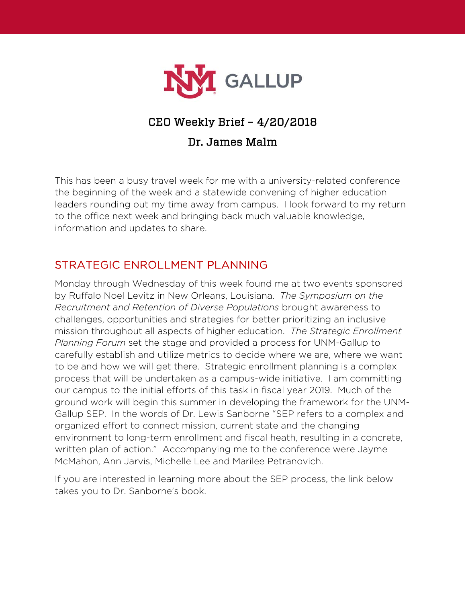

# CEO Weekly Brief – 4/20/2018

#### Dr. James Malm

This has been a busy travel week for me with a university-related conference the beginning of the week and a statewide convening of higher education leaders rounding out my time away from campus. I look forward to my return to the office next week and bringing back much valuable knowledge, information and updates to share.

## STRATEGIC ENROLLMENT PLANNING

Monday through Wednesday of this week found me at two events sponsored by Ruffalo Noel Levitz in New Orleans, Louisiana. *The Symposium on the Recruitment and Retention of Diverse Populations* brought awareness to challenges, opportunities and strategies for better prioritizing an inclusive mission throughout all aspects of higher education. *The Strategic Enrollment Planning Forum* set the stage and provided a process for UNM-Gallup to carefully establish and utilize metrics to decide where we are, where we want to be and how we will get there. Strategic enrollment planning is a complex process that will be undertaken as a campus-wide initiative. I am committing our campus to the initial efforts of this task in fiscal year 2019. Much of the ground work will begin this summer in developing the framework for the UNM-Gallup SEP. In the words of Dr. Lewis Sanborne "SEP refers to a complex and organized effort to connect mission, current state and the changing environment to long-term enrollment and fiscal heath, resulting in a concrete, written plan of action." Accompanying me to the conference were Jayme McMahon, Ann Jarvis, Michelle Lee and Marilee Petranovich.

If you are interested in learning more about the SEP process, the link below takes you to Dr. Sanborne's book.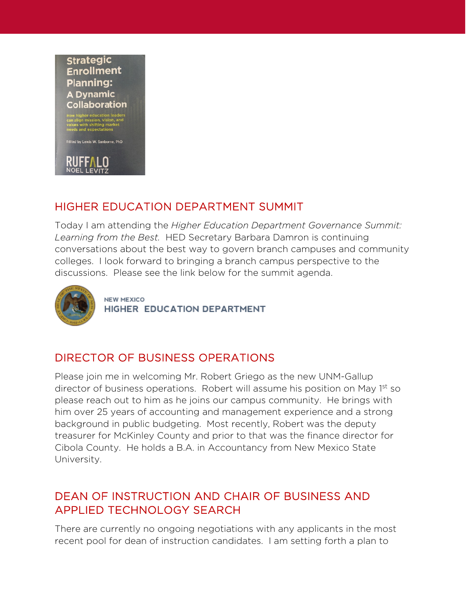#### **Strategic Enrollment Planning: A Dynamic** Collaboration

with shifting ma<br>and expectatior

Edited by Lewis W. Sanborne, PhD

#### HIGHER EDUCATION DEPARTMENT SUMMIT

Today I am attending the *Higher Education Department Governance Summit: Learning from the Best.* HED Secretary Barbara Damron is continuing conversations about the best way to govern branch campuses and community colleges. I look forward to bringing a branch campus perspective to the discussions. Please see the link below for the summit agenda.



**NEW MEXICO** HIGHER EDUCATION DEPARTMENT

### DIRECTOR OF BUSINESS OPERATIONS

Please join me in welcoming Mr. Robert Griego as the new UNM-Gallup director of business operations. Robert will assume his position on May 1<sup>st</sup> so please reach out to him as he joins our campus community. He brings with him over 25 years of accounting and management experience and a strong background in public budgeting. Most recently, Robert was the deputy treasurer for McKinley County and prior to that was the finance director for Cibola County. He holds a B.A. in Accountancy from New Mexico State University.

#### DEAN OF INSTRUCTION AND CHAIR OF BUSINESS AND APPLIED TECHNOLOGY SEARCH

There are currently no ongoing negotiations with any applicants in the most recent pool for dean of instruction candidates. I am setting forth a plan to